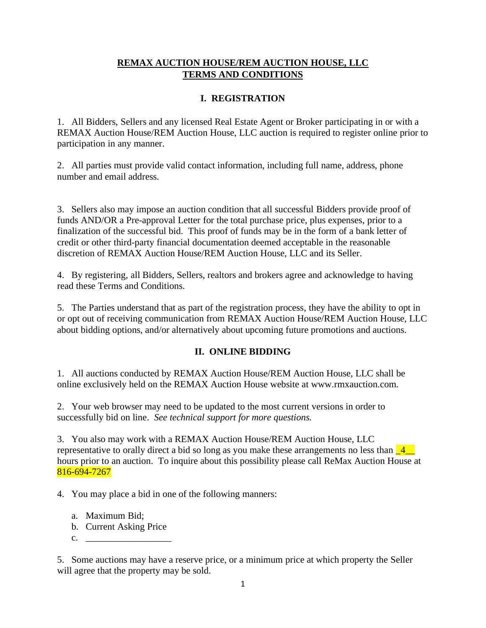## **REMAX AUCTION HOUSE/REM AUCTION HOUSE, LLC TERMS AND CONDITIONS**

# **I. REGISTRATION**

1. All Bidders, Sellers and any licensed Real Estate Agent or Broker participating in or with a REMAX Auction House/REM Auction House, LLC auction is required to register online prior to participation in any manner.

2. All parties must provide valid contact information, including full name, address, phone number and email address.

3. Sellers also may impose an auction condition that all successful Bidders provide proof of funds AND/OR a Pre-approval Letter for the total purchase price, plus expenses, prior to a finalization of the successful bid. This proof of funds may be in the form of a bank letter of credit or other third-party financial documentation deemed acceptable in the reasonable discretion of REMAX Auction House/REM Auction House, LLC and its Seller.

4. By registering, all Bidders, Sellers, realtors and brokers agree and acknowledge to having read these Terms and Conditions.

5. The Parties understand that as part of the registration process, they have the ability to opt in or opt out of receiving communication from REMAX Auction House/REM Auction House, LLC about bidding options, and/or alternatively about upcoming future promotions and auctions.

# **II. ONLINE BIDDING**

1. All auctions conducted by REMAX Auction House/REM Auction House, LLC shall be online exclusively held on the REMAX Auction House website at www.rmxauction.com.

2. Your web browser may need to be updated to the most current versions in order to successfully bid on line. *See technical support for more questions.*

3. You also may work with a REMAX Auction House/REM Auction House, LLC representative to orally direct a bid so long as you make these arrangements no less than  $\frac{4}{-4}$ hours prior to an auction. To inquire about this possibility please call ReMax Auction House at 816-694-7267

4. You may place a bid in one of the following manners:

- a. Maximum Bid;
- b. Current Asking Price
- $c.$

5. Some auctions may have a reserve price, or a minimum price at which property the Seller will agree that the property may be sold.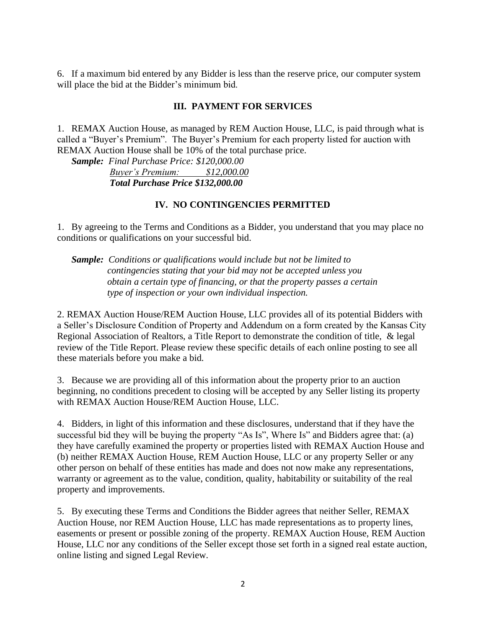6. If a maximum bid entered by any Bidder is less than the reserve price, our computer system will place the bid at the Bidder's minimum bid.

#### **III. PAYMENT FOR SERVICES**

1. REMAX Auction House, as managed by REM Auction House, LLC, is paid through what is called a "Buyer's Premium". The Buyer's Premium for each property listed for auction with REMAX Auction House shall be 10% of the total purchase price.

*Sample: Final Purchase Price: \$120,000.00 Buyer's Premium: \$12,000.00 Total Purchase Price \$132,000.00*

#### **IV. NO CONTINGENCIES PERMITTED**

1. By agreeing to the Terms and Conditions as a Bidder, you understand that you may place no conditions or qualifications on your successful bid.

*Sample: Conditions or qualifications would include but not be limited to contingencies stating that your bid may not be accepted unless you obtain a certain type of financing, or that the property passes a certain type of inspection or your own individual inspection.* 

2. REMAX Auction House/REM Auction House, LLC provides all of its potential Bidders with a Seller's Disclosure Condition of Property and Addendum on a form created by the Kansas City Regional Association of Realtors, a Title Report to demonstrate the condition of title, & legal review of the Title Report. Please review these specific details of each online posting to see all these materials before you make a bid.

3. Because we are providing all of this information about the property prior to an auction beginning, no conditions precedent to closing will be accepted by any Seller listing its property with REMAX Auction House/REM Auction House, LLC.

4. Bidders, in light of this information and these disclosures, understand that if they have the successful bid they will be buying the property "As Is", Where Is" and Bidders agree that: (a) they have carefully examined the property or properties listed with REMAX Auction House and (b) neither REMAX Auction House, REM Auction House, LLC or any property Seller or any other person on behalf of these entities has made and does not now make any representations, warranty or agreement as to the value, condition, quality, habitability or suitability of the real property and improvements.

5. By executing these Terms and Conditions the Bidder agrees that neither Seller, REMAX Auction House, nor REM Auction House, LLC has made representations as to property lines, easements or present or possible zoning of the property. REMAX Auction House, REM Auction House, LLC nor any conditions of the Seller except those set forth in a signed real estate auction, online listing and signed Legal Review.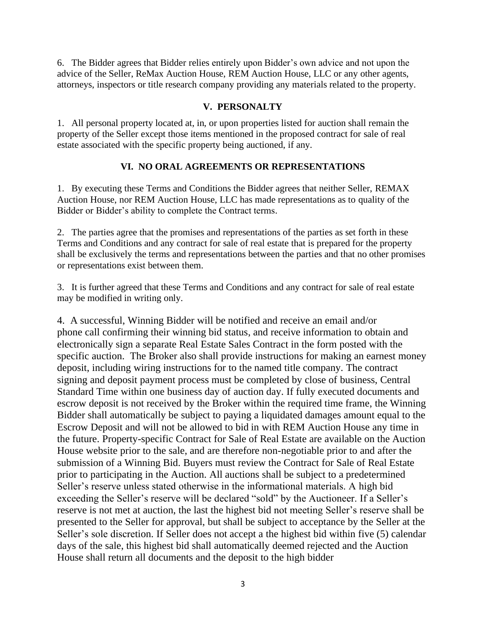6. The Bidder agrees that Bidder relies entirely upon Bidder's own advice and not upon the advice of the Seller, ReMax Auction House, REM Auction House, LLC or any other agents, attorneys, inspectors or title research company providing any materials related to the property.

### **V. PERSONALTY**

1. All personal property located at, in, or upon properties listed for auction shall remain the property of the Seller except those items mentioned in the proposed contract for sale of real estate associated with the specific property being auctioned, if any.

#### **VI. NO ORAL AGREEMENTS OR REPRESENTATIONS**

1. By executing these Terms and Conditions the Bidder agrees that neither Seller, REMAX Auction House, nor REM Auction House, LLC has made representations as to quality of the Bidder or Bidder's ability to complete the Contract terms.

2. The parties agree that the promises and representations of the parties as set forth in these Terms and Conditions and any contract for sale of real estate that is prepared for the property shall be exclusively the terms and representations between the parties and that no other promises or representations exist between them.

3. It is further agreed that these Terms and Conditions and any contract for sale of real estate may be modified in writing only.

4. A successful, Winning Bidder will be notified and receive an email and/or phone call confirming their winning bid status, and receive information to obtain and electronically sign a separate Real Estate Sales Contract in the form posted with the specific auction. The Broker also shall provide instructions for making an earnest money deposit, including wiring instructions for to the named title company. The contract signing and deposit payment process must be completed by close of business, Central Standard Time within one business day of auction day. If fully executed documents and escrow deposit is not received by the Broker within the required time frame, the Winning Bidder shall automatically be subject to paying a liquidated damages amount equal to the Escrow Deposit and will not be allowed to bid in with REM Auction House any time in the future. Property-specific Contract for Sale of Real Estate are available on the Auction House website prior to the sale, and are therefore non-negotiable prior to and after the submission of a Winning Bid. Buyers must review the Contract for Sale of Real Estate prior to participating in the Auction. All auctions shall be subject to a predetermined Seller's reserve unless stated otherwise in the informational materials. A high bid exceeding the Seller's reserve will be declared "sold" by the Auctioneer. If a Seller's reserve is not met at auction, the last the highest bid not meeting Seller's reserve shall be presented to the Seller for approval, but shall be subject to acceptance by the Seller at the Seller's sole discretion. If Seller does not accept a the highest bid within five (5) calendar days of the sale, this highest bid shall automatically deemed rejected and the Auction House shall return all documents and the deposit to the high bidder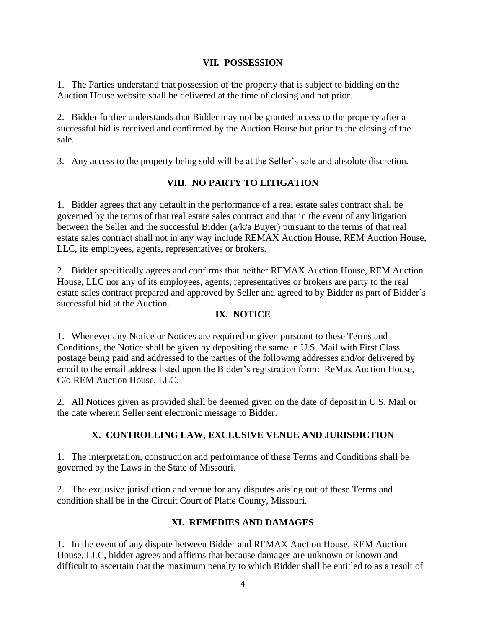### **VII. POSSESSION**

1. The Parties understand that possession of the property that is subject to bidding on the Auction House website shall be delivered at the time of closing and not prior.

2. Bidder further understands that Bidder may not be granted access to the property after a successful bid is received and confirmed by the Auction House but prior to the closing of the sale.

3. Any access to the property being sold will be at the Seller's sole and absolute discretion.

## **VIII. NO PARTY TO LITIGATION**

1. Bidder agrees that any default in the performance of a real estate sales contract shall be governed by the terms of that real estate sales contract and that in the event of any litigation between the Seller and the successful Bidder (a/k/a Buyer) pursuant to the terms of that real estate sales contract shall not in any way include REMAX Auction House, REM Auction House, LLC, its employees, agents, representatives or brokers.

2. Bidder specifically agrees and confirms that neither REMAX Auction House, REM Auction House, LLC nor any of its employees, agents, representatives or brokers are party to the real estate sales contract prepared and approved by Seller and agreed to by Bidder as part of Bidder's successful bid at the Auction.

### **IX. NOTICE**

1. Whenever any Notice or Notices are required or given pursuant to these Terms and Conditions, the Notice shall be given by depositing the same in U.S. Mail with First Class postage being paid and addressed to the parties of the following addresses and/or delivered by email to the email address listed upon the Bidder's registration form: ReMax Auction House, C/o REM Auction House, LLC.

2. All Notices given as provided shall be deemed given on the date of deposit in U.S. Mail or the date wherein Seller sent electronic message to Bidder.

## **X. CONTROLLING LAW, EXCLUSIVE VENUE AND JURISDICTION**

1. The interpretation, construction and performance of these Terms and Conditions shall be governed by the Laws in the State of Missouri.

2. The exclusive jurisdiction and venue for any disputes arising out of these Terms and condition shall be in the Circuit Court of Platte County, Missouri.

## **XI. REMEDIES AND DAMAGES**

1. In the event of any dispute between Bidder and REMAX Auction House, REM Auction House, LLC, bidder agrees and affirms that because damages are unknown or known and difficult to ascertain that the maximum penalty to which Bidder shall be entitled to as a result of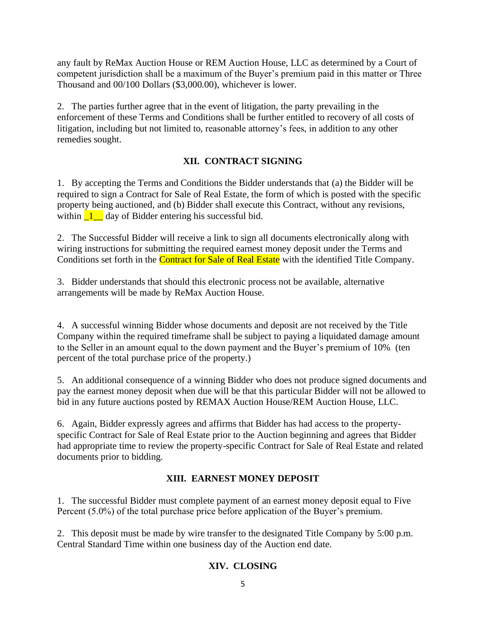any fault by ReMax Auction House or REM Auction House, LLC as determined by a Court of competent jurisdiction shall be a maximum of the Buyer's premium paid in this matter or Three Thousand and 00/100 Dollars (\$3,000.00), whichever is lower.

2. The parties further agree that in the event of litigation, the party prevailing in the enforcement of these Terms and Conditions shall be further entitled to recovery of all costs of litigation, including but not limited to, reasonable attorney's fees, in addition to any other remedies sought.

## **XII. CONTRACT SIGNING**

1. By accepting the Terms and Conditions the Bidder understands that (a) the Bidder will be required to sign a Contract for Sale of Real Estate, the form of which is posted with the specific property being auctioned, and (b) Bidder shall execute this Contract, without any revisions, within  $\boxed{1}$  day of Bidder entering his successful bid.

2. The Successful Bidder will receive a link to sign all documents electronically along with wiring instructions for submitting the required earnest money deposit under the Terms and Conditions set forth in the **Contract for Sale of Real Estate** with the identified Title Company.

3. Bidder understands that should this electronic process not be available, alternative arrangements will be made by ReMax Auction House.

4. A successful winning Bidder whose documents and deposit are not received by the Title Company within the required timeframe shall be subject to paying a liquidated damage amount to the Seller in an amount equal to the down payment and the Buyer's premium of 10% (ten percent of the total purchase price of the property.)

5. An additional consequence of a winning Bidder who does not produce signed documents and pay the earnest money deposit when due will be that this particular Bidder will not be allowed to bid in any future auctions posted by REMAX Auction House/REM Auction House, LLC.

6. Again, Bidder expressly agrees and affirms that Bidder has had access to the propertyspecific Contract for Sale of Real Estate prior to the Auction beginning and agrees that Bidder had appropriate time to review the property-specific Contract for Sale of Real Estate and related documents prior to bidding.

# **XIII. EARNEST MONEY DEPOSIT**

1. The successful Bidder must complete payment of an earnest money deposit equal to Five Percent (5.0%) of the total purchase price before application of the Buyer's premium.

2. This deposit must be made by wire transfer to the designated Title Company by 5:00 p.m. Central Standard Time within one business day of the Auction end date.

# **XIV. CLOSING**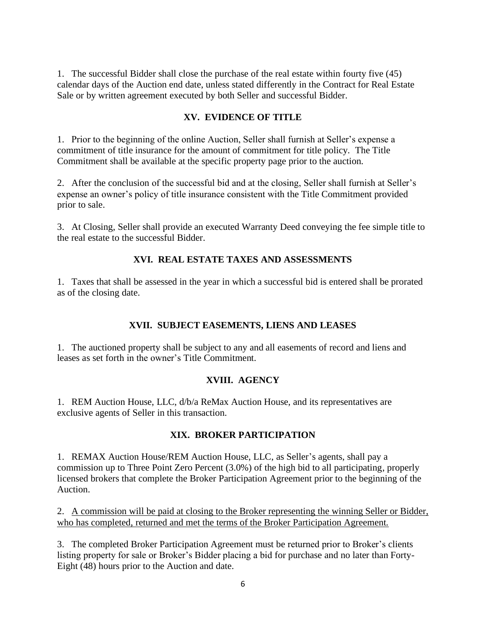1. The successful Bidder shall close the purchase of the real estate within fourty five (45) calendar days of the Auction end date, unless stated differently in the Contract for Real Estate Sale or by written agreement executed by both Seller and successful Bidder.

## **XV. EVIDENCE OF TITLE**

1. Prior to the beginning of the online Auction, Seller shall furnish at Seller's expense a commitment of title insurance for the amount of commitment for title policy. The Title Commitment shall be available at the specific property page prior to the auction.

2. After the conclusion of the successful bid and at the closing, Seller shall furnish at Seller's expense an owner's policy of title insurance consistent with the Title Commitment provided prior to sale.

3. At Closing, Seller shall provide an executed Warranty Deed conveying the fee simple title to the real estate to the successful Bidder.

#### **XVI. REAL ESTATE TAXES AND ASSESSMENTS**

1. Taxes that shall be assessed in the year in which a successful bid is entered shall be prorated as of the closing date.

#### **XVII. SUBJECT EASEMENTS, LIENS AND LEASES**

1. The auctioned property shall be subject to any and all easements of record and liens and leases as set forth in the owner's Title Commitment.

## **XVIII. AGENCY**

1. REM Auction House, LLC, d/b/a ReMax Auction House, and its representatives are exclusive agents of Seller in this transaction.

#### **XIX. BROKER PARTICIPATION**

1. REMAX Auction House/REM Auction House, LLC, as Seller's agents, shall pay a commission up to Three Point Zero Percent (3.0%) of the high bid to all participating, properly licensed brokers that complete the Broker Participation Agreement prior to the beginning of the Auction.

2. A commission will be paid at closing to the Broker representing the winning Seller or Bidder, who has completed, returned and met the terms of the Broker Participation Agreement.

3. The completed Broker Participation Agreement must be returned prior to Broker's clients listing property for sale or Broker's Bidder placing a bid for purchase and no later than Forty-Eight (48) hours prior to the Auction and date.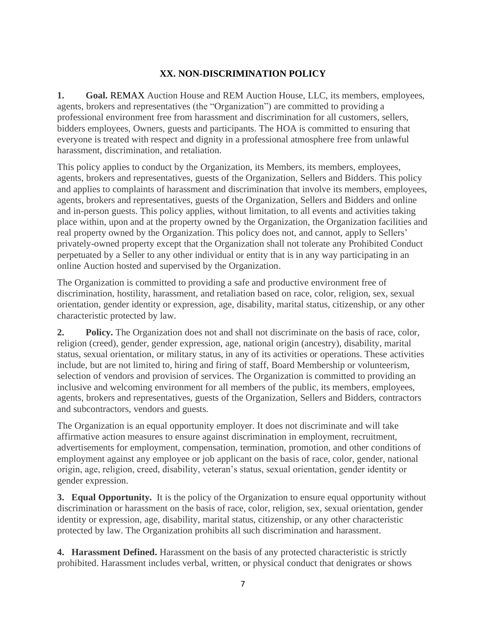## **XX. NON-DISCRIMINATION POLICY**

**1. Goal.** REMAX Auction House and REM Auction House, LLC, its members, employees, agents, brokers and representatives (the "Organization") are committed to providing a professional environment free from harassment and discrimination for all customers, sellers, bidders employees, Owners, guests and participants. The HOA is committed to ensuring that everyone is treated with respect and dignity in a professional atmosphere free from unlawful harassment, discrimination, and retaliation.

This policy applies to conduct by the Organization, its Members, its members, employees, agents, brokers and representatives, guests of the Organization, Sellers and Bidders. This policy and applies to complaints of harassment and discrimination that involve its members, employees, agents, brokers and representatives, guests of the Organization, Sellers and Bidders and online and in-person guests. This policy applies, without limitation, to all events and activities taking place within, upon and at the property owned by the Organization, the Organization facilities and real property owned by the Organization. This policy does not, and cannot, apply to Sellers' privately-owned property except that the Organization shall not tolerate any Prohibited Conduct perpetuated by a Seller to any other individual or entity that is in any way participating in an online Auction hosted and supervised by the Organization.

The Organization is committed to providing a safe and productive environment free of discrimination, hostility, harassment, and retaliation based on race, color, religion, sex, sexual orientation, gender identity or expression, age, disability, marital status, citizenship, or any other characteristic protected by law.

**2. Policy.** The Organization does not and shall not discriminate on the basis of race, color, religion (creed), gender, gender expression, age, national origin (ancestry), disability, marital status, sexual orientation, or military status, in any of its activities or operations. These activities include, but are not limited to, hiring and firing of staff, Board Membership or volunteerism, selection of vendors and provision of services. The Organization is committed to providing an inclusive and welcoming environment for all members of the public, its members, employees, agents, brokers and representatives, guests of the Organization, Sellers and Bidders, contractors and subcontractors, vendors and guests.

The Organization is an equal opportunity employer. It does not discriminate and will take affirmative action measures to ensure against discrimination in employment, recruitment, advertisements for employment, compensation, termination, promotion, and other conditions of employment against any employee or job applicant on the basis of race, color, gender, national origin, age, religion, creed, disability, veteran's status, sexual orientation, gender identity or gender expression.

**3. Equal Opportunity.** It is the policy of the Organization to ensure equal opportunity without discrimination or harassment on the basis of race, color, religion, sex, sexual orientation, gender identity or expression, age, disability, marital status, citizenship, or any other characteristic protected by law. The Organization prohibits all such discrimination and harassment.

**4. Harassment Defined.** Harassment on the basis of any protected characteristic is strictly prohibited. Harassment includes verbal, written, or physical conduct that denigrates or shows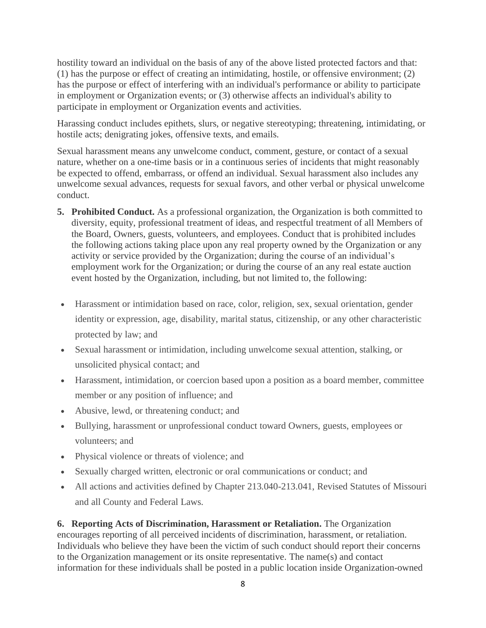hostility toward an individual on the basis of any of the above listed protected factors and that: (1) has the purpose or effect of creating an intimidating, hostile, or offensive environment; (2) has the purpose or effect of interfering with an individual's performance or ability to participate in employment or Organization events; or (3) otherwise affects an individual's ability to participate in employment or Organization events and activities.

Harassing conduct includes epithets, slurs, or negative stereotyping; threatening, intimidating, or hostile acts; denigrating jokes, offensive texts, and emails.

Sexual harassment means any unwelcome conduct, comment, gesture, or contact of a sexual nature, whether on a one-time basis or in a continuous series of incidents that might reasonably be expected to offend, embarrass, or offend an individual. Sexual harassment also includes any unwelcome sexual advances, requests for sexual favors, and other verbal or physical unwelcome conduct.

- **5. Prohibited Conduct.** As a professional organization, the Organization is both committed to diversity, equity, professional treatment of ideas, and respectful treatment of all Members of the Board, Owners, guests, volunteers, and employees. Conduct that is prohibited includes the following actions taking place upon any real property owned by the Organization or any activity or service provided by the Organization; during the course of an individual's employment work for the Organization; or during the course of an any real estate auction event hosted by the Organization, including, but not limited to, the following:
- Harassment or intimidation based on race, color, religion, sex, sexual orientation, gender identity or expression, age, disability, marital status, citizenship, or any other characteristic protected by law; and
- Sexual harassment or intimidation, including unwelcome sexual attention, stalking, or unsolicited physical contact; and
- Harassment, intimidation, or coercion based upon a position as a board member, committee member or any position of influence; and
- Abusive, lewd, or threatening conduct; and
- Bullying, harassment or unprofessional conduct toward Owners, guests, employees or volunteers; and
- Physical violence or threats of violence; and
- Sexually charged written, electronic or oral communications or conduct; and
- All actions and activities defined by Chapter 213.040-213.041, Revised Statutes of Missouri and all County and Federal Laws.

**6. Reporting Acts of Discrimination, Harassment or Retaliation.** The Organization encourages reporting of all perceived incidents of discrimination, harassment, or retaliation. Individuals who believe they have been the victim of such conduct should report their concerns to the Organization management or its onsite representative. The name(s) and contact information for these individuals shall be posted in a public location inside Organization-owned